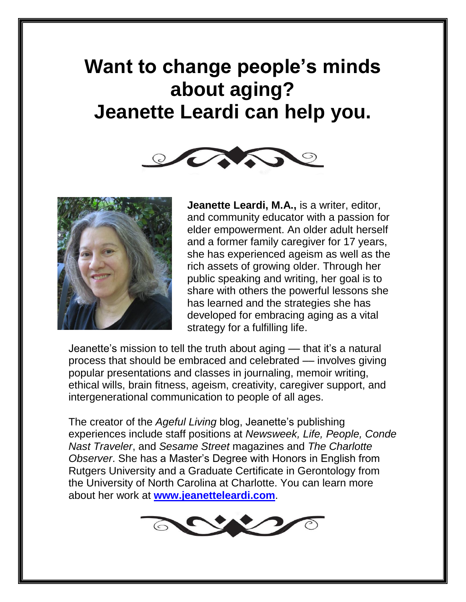# **Want to change people's minds about aging? Jeanette Leardi can help you.**





**Jeanette Leardi, M.A.,** is a writer, editor, and community educator with a passion for elder empowerment. An older adult herself and a former family caregiver for 17 years, she has experienced ageism as well as the rich assets of growing older. Through her public speaking and writing, her goal is to share with others the powerful lessons she has learned and the strategies she has developed for embracing aging as a vital strategy for a fulfilling life.

Jeanette's mission to tell the truth about aging –– that it's a natural process that should be embraced and celebrated –– involves giving popular presentations and classes in journaling, memoir writing, ethical wills, brain fitness, ageism, creativity, caregiver support, and intergenerational communication to people of all ages.

The creator of the *Ageful Living* blog, Jeanette's publishing experiences include staff positions at *Newsweek, Life, People, Conde Nast Traveler*, and *Sesame Street* magazines and *The Charlotte Observer*. She has a Master's Degree with Honors in English from Rutgers University and a Graduate Certificate in Gerontology from the University of North Carolina at Charlotte. You can learn more about her work at **[www.jeanetteleardi.com](http://www.jeanetteleardi.com/)**.

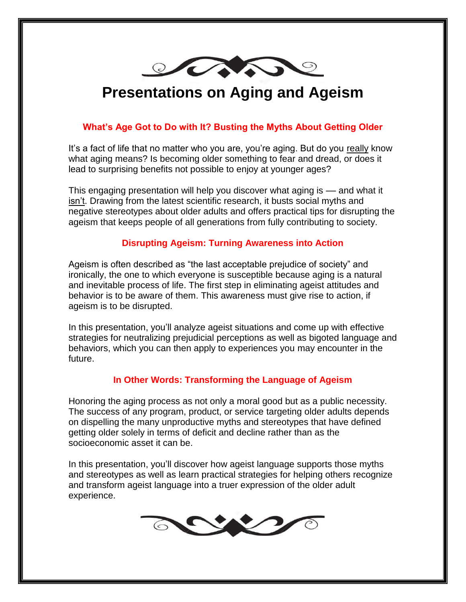

## **Presentations on Aging and Ageism**

#### **What's Age Got to Do with It? Busting the Myths About Getting Older**

It's a fact of life that no matter who you are, you're aging. But do you really know what aging means? Is becoming older something to fear and dread, or does it lead to surprising benefits not possible to enjoy at younger ages?

This engaging presentation will help you discover what aging is –– and what it isn't. Drawing from the latest scientific research, it busts social myths and negative stereotypes about older adults and offers practical tips for disrupting the ageism that keeps people of all generations from fully contributing to society.

#### **Disrupting Ageism: Turning Awareness into Action**

Ageism is often described as "the last acceptable prejudice of society" and ironically, the one to which everyone is susceptible because aging is a natural and inevitable process of life. The first step in eliminating ageist attitudes and behavior is to be aware of them. This awareness must give rise to action, if ageism is to be disrupted.

In this presentation, you'll analyze ageist situations and come up with effective strategies for neutralizing prejudicial perceptions as well as bigoted language and behaviors, which you can then apply to experiences you may encounter in the future.

#### **In Other Words: Transforming the Language of Ageism**

Honoring the aging process as not only a moral good but as a public necessity. The success of any program, product, or service targeting older adults depends on dispelling the many unproductive myths and stereotypes that have defined getting older solely in terms of deficit and decline rather than as the socioeconomic asset it can be.

In this presentation, you'll discover how ageist language supports those myths and stereotypes as well as learn practical strategies for helping others recognize and transform ageist language into a truer expression of the older adult experience.

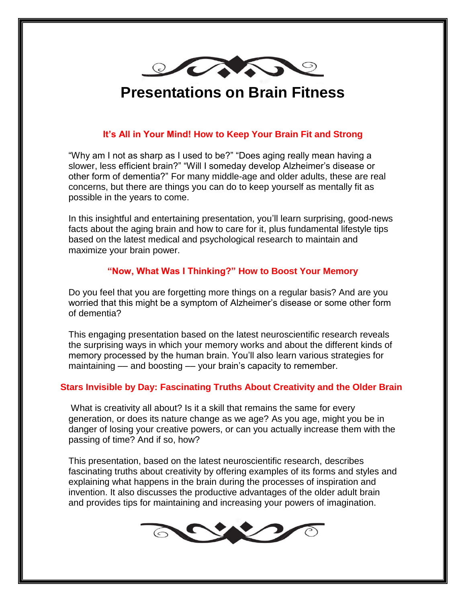

### **Presentations on Brain Fitness**

#### **It's All in Your Mind! How to Keep Your Brain Fit and Strong**

"Why am I not as sharp as I used to be?" "Does aging really mean having a slower, less efficient brain?" "Will I someday develop Alzheimer's disease or other form of dementia?" For many middle-age and older adults, these are real concerns, but there are things you can do to keep yourself as mentally fit as possible in the years to come.

In this insightful and entertaining presentation, you'll learn surprising, good-news facts about the aging brain and how to care for it, plus fundamental lifestyle tips based on the latest medical and psychological research to maintain and maximize your brain power.

#### **"Now, What Was I Thinking?" How to Boost Your Memory**

Do you feel that you are forgetting more things on a regular basis? And are you worried that this might be a symptom of Alzheimer's disease or some other form of dementia?

This engaging presentation based on the latest neuroscientific research reveals the surprising ways in which your memory works and about the different kinds of memory processed by the human brain. You'll also learn various strategies for maintaining –– and boosting –– your brain's capacity to remember.

#### **Stars Invisible by Day: Fascinating Truths About Creativity and the Older Brain**

What is creativity all about? Is it a skill that remains the same for every generation, or does its nature change as we age? As you age, might you be in danger of losing your creative powers, or can you actually increase them with the passing of time? And if so, how?

This presentation, based on the latest neuroscientific research, describes fascinating truths about creativity by offering examples of its forms and styles and explaining what happens in the brain during the processes of inspiration and invention. It also discusses the productive advantages of the older adult brain and provides tips for maintaining and increasing your powers of imagination.

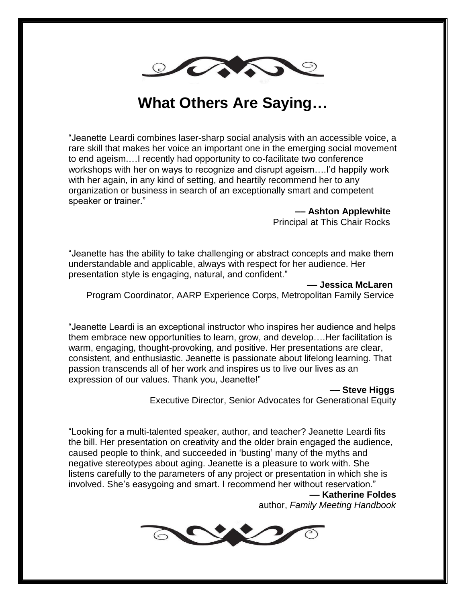

### **What Others Are Saying…**

"Jeanette Leardi combines laser-sharp social analysis with an accessible voice, a rare skill that makes her voice an important one in the emerging social movement to end ageism.…I recently had opportunity to co-facilitate two conference workshops with her on ways to recognize and disrupt ageism….I'd happily work with her again, in any kind of setting, and heartily recommend her to any organization or business in search of an exceptionally smart and competent speaker or trainer."

> **–– Ashton Applewhite** Principal at This Chair Rocks

"Jeanette has the ability to take challenging or abstract concepts and make them understandable and applicable, always with respect for her audience. Her presentation style is engaging, natural, and confident."

**–– Jessica McLaren**

Program Coordinator, AARP Experience Corps, Metropolitan Family Service

"Jeanette Leardi is an exceptional instructor who inspires her audience and helps them embrace new opportunities to learn, grow, and develop….Her facilitation is warm, engaging, thought-provoking, and positive. Her presentations are clear, consistent, and enthusiastic. Jeanette is passionate about lifelong learning. That passion transcends all of her work and inspires us to live our lives as an expression of our values. Thank you, Jeanette!"

 **–– Steve Higgs**

Executive Director, Senior Advocates for Generational Equity

"Looking for a multi-talented speaker, author, and teacher? Jeanette Leardi fits the bill. Her presentation on creativity and the older brain engaged the audience, caused people to think, and succeeded in 'busting' many of the myths and negative stereotypes about aging. Jeanette is a pleasure to work with. She listens carefully to the parameters of any project or presentation in which she is involved. She's easygoing and smart. I recommend her without reservation."

#### **–– Katherine Foldes**

author, *Family Meeting Handbook*

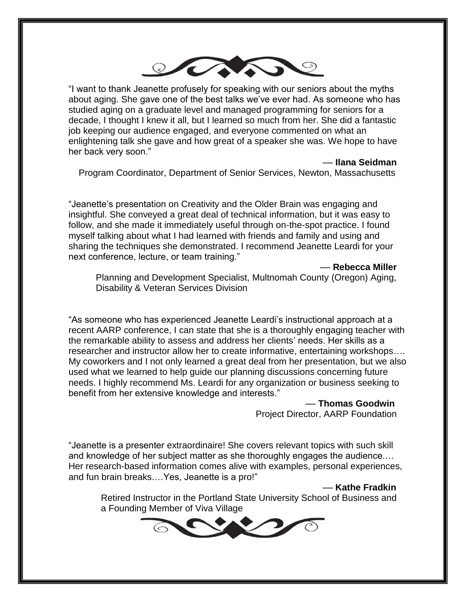

"I want to thank Jeanette profusely for speaking with our seniors about the myths about aging. She gave one of the best talks we've ever had. As someone who has studied aging on a graduate level and managed programming for seniors for a decade, I thought I knew it all, but I learned so much from her. She did a fantastic job keeping our audience engaged, and everyone commented on what an enlightening talk she gave and how great of a speaker she was. We hope to have her back very soon."

#### –– **Ilana Seidman**

Program Coordinator, Department of Senior Services, Newton, Massachusetts

"Jeanette's presentation on Creativity and the Older Brain was engaging and insightful. She conveyed a great deal of technical information, but it was easy to follow, and she made it immediately useful through on-the-spot practice. I found myself talking about what I had learned with friends and family and using and sharing the techniques she demonstrated. I recommend Jeanette Leardi for your next conference, lecture, or team training."

–– **Rebecca Miller**

Planning and Development Specialist, Multnomah County (Oregon) Aging, Disability & Veteran Services Division

"As someone who has experienced Jeanette Leardi's instructional approach at a recent AARP conference, I can state that she is a thoroughly engaging teacher with the remarkable ability to assess and address her clients' needs. Her skills as a researcher and instructor allow her to create informative, entertaining workshops…. My coworkers and I not only learned a great deal from her presentation, but we also used what we learned to help guide our planning discussions concerning future needs. I highly recommend Ms. Leardi for any organization or business seeking to benefit from her extensive knowledge and interests."

> –– **Thomas Goodwin** Project Director, AARP Foundation

"Jeanette is a presenter extraordinaire! She covers relevant topics with such skill and knowledge of her subject matter as she thoroughly engages the audience.… Her research-based information comes alive with examples, personal experiences, and fun brain breaks.…Yes, Jeanette is a pro!"

#### –– **Kathe Fradkin**

 Retired Instructor in the Portland State University School of Business and a Founding Member of Viva Village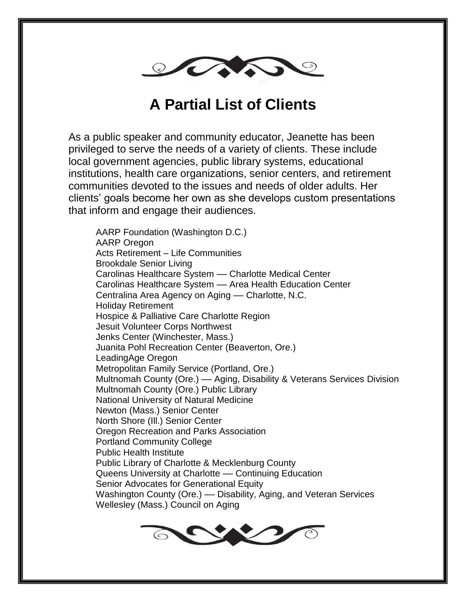

## **A Partial List of Clients**

As a public speaker and community educator, Jeanette has been privileged to serve the needs of a variety of clients. These include local government agencies, public library systems, educational institutions, health care organizations, senior centers, and retirement communities devoted to the issues and needs of older adults. Her clients' goals become her own as she develops custom presentations that inform and engage their audiences.

AARP Foundation (Washington D.C.) AARP Oregon Acts Retirement – Life Communities Brookdale Senior Living Carolinas Healthcare System - Charlotte Medical Center Carolinas Healthcare System –– Area Health Education Center Centralina Area Agency on Aging –– Charlotte, N.C. Holiday Retirement Hospice & Palliative Care Charlotte Region Jesuit Volunteer Corps Northwest Jenks Center (Winchester, Mass.) Juanita Pohl Recreation Center (Beaverton, Ore.) LeadingAge Oregon Metropolitan Family Service (Portland, Ore.) Multnomah County (Ore.) –– Aging, Disability & Veterans Services Division Multnomah County (Ore.) Public Library National University of Natural Medicine Newton (Mass.) Senior Center North Shore (Ill.) Senior Center Oregon Recreation and Parks Association Portland Community College Public Health Institute Public Library of Charlotte & Mecklenburg County Queens University at Charlotte –– Continuing Education Senior Advocates for Generational Equity Washington County (Ore.) –– Disability, Aging, and Veteran Services Wellesley (Mass.) Council on Aging